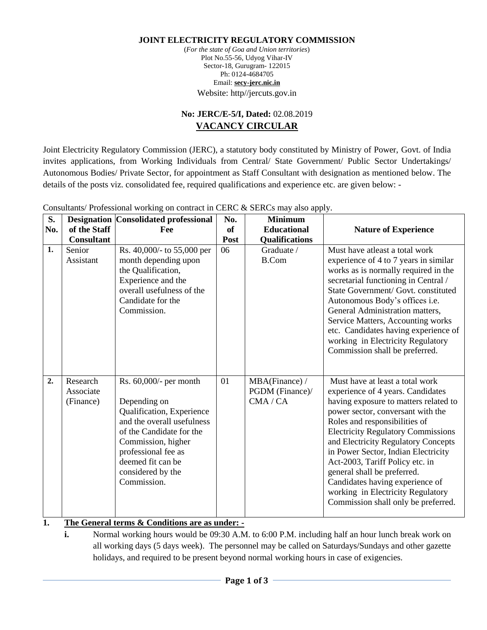#### **JOINT ELECTRICITY REGULATORY COMMISSION**

(*For the state of Goa and Union territories*) Plot No.55-56, Udyog Vihar-IV Sector-18, Gurugram- 122015 Ph: 0124-4684705 Email: **[secy-jerc.nic.in](mailto:secretaryjerc@gmail.com)** Website: http//jercuts.gov.in

## **No: JERC/E-5/I, Dated:** 02.08.2019 **VACANCY CIRCULAR**

Joint Electricity Regulatory Commission (JERC), a statutory body constituted by Ministry of Power, Govt. of India invites applications, from Working Individuals from Central/ State Government/ Public Sector Undertakings/ Autonomous Bodies/ Private Sector, for appointment as Staff Consultant with designation as mentioned below. The details of the posts viz. consolidated fee, required qualifications and experience etc. are given below: -

| S.  |                                    | <b>Designation Consolidated professional</b>                                                                                                                                                                                           | No.  | <b>Minimum</b>                              |                                                                                                                                                                                                                                                                                                                                                                                                                                                                                                 |
|-----|------------------------------------|----------------------------------------------------------------------------------------------------------------------------------------------------------------------------------------------------------------------------------------|------|---------------------------------------------|-------------------------------------------------------------------------------------------------------------------------------------------------------------------------------------------------------------------------------------------------------------------------------------------------------------------------------------------------------------------------------------------------------------------------------------------------------------------------------------------------|
| No. | of the Staff                       | Fee                                                                                                                                                                                                                                    | of   | <b>Educational</b>                          | <b>Nature of Experience</b>                                                                                                                                                                                                                                                                                                                                                                                                                                                                     |
|     | <b>Consultant</b>                  |                                                                                                                                                                                                                                        | Post | <b>Qualifications</b>                       |                                                                                                                                                                                                                                                                                                                                                                                                                                                                                                 |
| 1.  | Senior<br>Assistant                | Rs. 40,000/- to 55,000 per<br>month depending upon<br>the Qualification,<br>Experience and the<br>overall usefulness of the<br>Candidate for the<br>Commission.                                                                        | 06   | Graduate /<br><b>B.Com</b>                  | Must have atleast a total work<br>experience of 4 to 7 years in similar<br>works as is normally required in the<br>secretarial functioning in Central /<br>State Government/ Govt. constituted<br>Autonomous Body's offices i.e.<br>General Administration matters,<br>Service Matters, Accounting works<br>etc. Candidates having experience of<br>working in Electricity Regulatory<br>Commission shall be preferred.                                                                         |
| 2.  | Research<br>Associate<br>(Finance) | Rs. $60,000/$ - per month<br>Depending on<br>Qualification, Experience<br>and the overall usefulness<br>of the Candidate for the<br>Commission, higher<br>professional fee as<br>deemed fit can be<br>considered by the<br>Commission. | 01   | MBA(Finance) /<br>PGDM (Finance)/<br>CMA/CA | Must have at least a total work<br>experience of 4 years. Candidates<br>having exposure to matters related to<br>power sector, conversant with the<br>Roles and responsibilities of<br><b>Electricity Regulatory Commissions</b><br>and Electricity Regulatory Concepts<br>in Power Sector, Indian Electricity<br>Act-2003, Tariff Policy etc. in<br>general shall be preferred.<br>Candidates having experience of<br>working in Electricity Regulatory<br>Commission shall only be preferred. |

Consultants/ Professional working on contract in CERC & SERCs may also apply.

### **1. The General terms & Conditions are as under: -**

**i.** Normal working hours would be 09:30 A.M. to 6:00 P.M. including half an hour lunch break work on all working days (5 days week). The personnel may be called on Saturdays/Sundays and other gazette holidays, and required to be present beyond normal working hours in case of exigencies.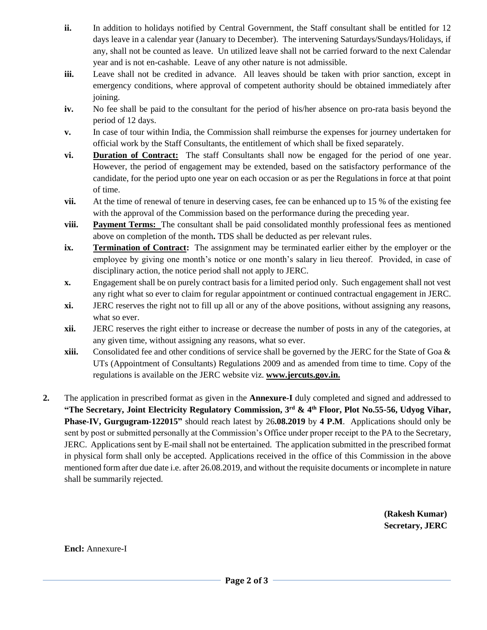- **ii.** In addition to holidays notified by Central Government, the Staff consultant shall be entitled for 12 days leave in a calendar year (January to December). The intervening Saturdays/Sundays/Holidays, if any, shall not be counted as leave. Un utilized leave shall not be carried forward to the next Calendar year and is not en-cashable. Leave of any other nature is not admissible.
- **iii.** Leave shall not be credited in advance. All leaves should be taken with prior sanction, except in emergency conditions, where approval of competent authority should be obtained immediately after joining.
- **iv.** No fee shall be paid to the consultant for the period of his/her absence on pro-rata basis beyond the period of 12 days.
- **v.** In case of tour within India, the Commission shall reimburse the expenses for journey undertaken for official work by the Staff Consultants, the entitlement of which shall be fixed separately.
- **vi. Duration of Contract:** The staff Consultants shall now be engaged for the period of one year. However, the period of engagement may be extended, based on the satisfactory performance of the candidate, for the period upto one year on each occasion or as per the Regulations in force at that point of time.
- **vii.** At the time of renewal of tenure in deserving cases, fee can be enhanced up to 15 % of the existing fee with the approval of the Commission based on the performance during the preceding year.
- **viii. Payment Terms:** The consultant shall be paid consolidated monthly professional fees as mentioned above on completion of the month**.** TDS shall be deducted as per relevant rules.
- **ix. Termination of Contract:** The assignment may be terminated earlier either by the employer or the employee by giving one month's notice or one month's salary in lieu thereof. Provided, in case of disciplinary action, the notice period shall not apply to JERC.
- **x.** Engagement shall be on purely contract basis for a limited period only. Such engagement shall not vest any right what so ever to claim for regular appointment or continued contractual engagement in JERC.
- **xi.** JERC reserves the right not to fill up all or any of the above positions, without assigning any reasons, what so ever.
- **xii.** JERC reserves the right either to increase or decrease the number of posts in any of the categories, at any given time, without assigning any reasons, what so ever.
- **xiii.** Consolidated fee and other conditions of service shall be governed by the JERC for the State of Goa & UTs (Appointment of Consultants) Regulations 2009 and as amended from time to time. Copy of the regulations is available on the JERC website viz. **[www.jercuts.gov.in.](http://www.jercuts.gov.in/)**
- **2.** The application in prescribed format as given in the **Annexure-I** duly completed and signed and addressed to **"The Secretary, Joint Electricity Regulatory Commission, 3rd & 4th Floor, Plot No.55-56, Udyog Vihar, Phase-IV, Gurgugram-122015"** should reach latest by 26**.08.2019** by **4 P.M**.Applications should only be sent by post or submitted personally at the Commission's Office under proper receipt to the PA to the Secretary, JERC. Applications sent by E-mail shall not be entertained. The application submitted in the prescribed format in physical form shall only be accepted. Applications received in the office of this Commission in the above mentioned form after due date i.e. after 26.08.2019, and without the requisite documents or incomplete in nature shall be summarily rejected.

 **(Rakesh Kumar) Secretary, JERC**

**Encl:** Annexure-I